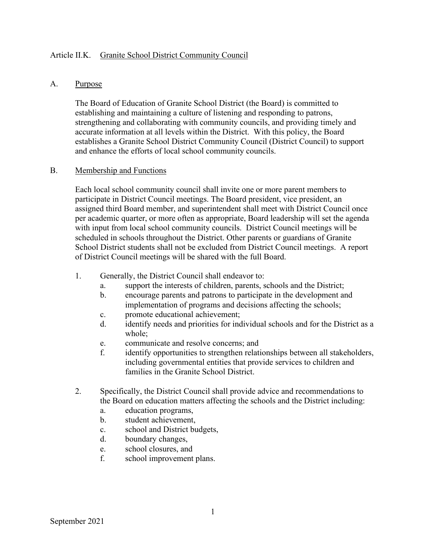## Article II.K. Granite School District Community Council

## A. Purpose

The Board of Education of Granite School District (the Board) is committed to establishing and maintaining a culture of listening and responding to patrons, strengthening and collaborating with community councils, and providing timely and accurate information at all levels within the District. With this policy, the Board establishes a Granite School District Community Council (District Council) to support and enhance the efforts of local school community councils.

## B. Membership and Functions

Each local school community council shall invite one or more parent members to participate in District Council meetings. The Board president, vice president, an assigned third Board member, and superintendent shall meet with District Council once per academic quarter, or more often as appropriate, Board leadership will set the agenda with input from local school community councils. District Council meetings will be scheduled in schools throughout the District. Other parents or guardians of Granite School District students shall not be excluded from District Council meetings. A report of District Council meetings will be shared with the full Board.

- 1. Generally, the District Council shall endeavor to:
	- a. support the interests of children, parents, schools and the District;
	- b. encourage parents and patrons to participate in the development and implementation of programs and decisions affecting the schools;
	- c. promote educational achievement;
	- d. identify needs and priorities for individual schools and for the District as a whole;
	- e. communicate and resolve concerns; and
	- f. identify opportunities to strengthen relationships between all stakeholders, including governmental entities that provide services to children and families in the Granite School District.
- 2. Specifically, the District Council shall provide advice and recommendations to the Board on education matters affecting the schools and the District including:
	- a. education programs,
	- b. student achievement,
	- c. school and District budgets,
	- d. boundary changes,
	- e. school closures, and
	- f. school improvement plans.